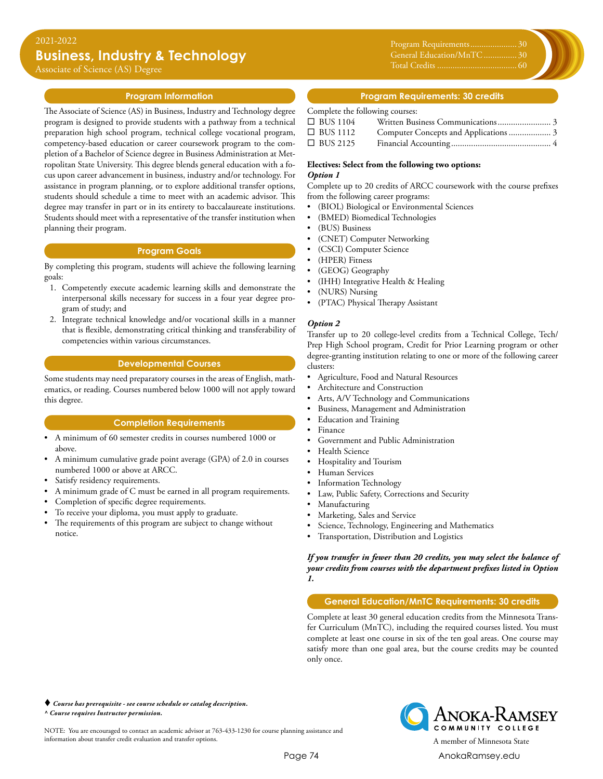Associate of Science (AS) Degree

#### **Program Information**

The Associate of Science (AS) in Business, Industry and Technology degree program is designed to provide students with a pathway from a technical preparation high school program, technical college vocational program, competency-based education or career coursework program to the completion of a Bachelor of Science degree in Business Administration at Metropolitan State University. This degree blends general education with a focus upon career advancement in business, industry and/or technology. For assistance in program planning, or to explore additional transfer options, students should schedule a time to meet with an academic advisor. This degree may transfer in part or in its entirety to baccalaureate institutions. Students should meet with a representative of the transfer institution when planning their program.

#### **Program Goals**

By completing this program, students will achieve the following learning goals:

- 1. Competently execute academic learning skills and demonstrate the interpersonal skills necessary for success in a four year degree program of study; and
- 2. Integrate technical knowledge and/or vocational skills in a manner that is flexible, demonstrating critical thinking and transferability of competencies within various circumstances.

#### **Developmental Courses**

Some students may need preparatory courses in the areas of English, mathematics, or reading. Courses numbered below 1000 will not apply toward this degree.

#### **Completion Requirements**

- A minimum of 60 semester credits in courses numbered 1000 or above.
- A minimum cumulative grade point average (GPA) of 2.0 in courses numbered 1000 or above at ARCC.
- Satisfy residency requirements.
- A minimum grade of C must be earned in all program requirements.
- Completion of specific degree requirements.
- To receive your diploma, you must apply to graduate.
- The requirements of this program are subject to change without notice.

Program Requirements...................... 30 General Education/MnTC................ 30 Total Credits..................................... 60

#### **Program Requirements: 30 credits**

#### Complete the following courses:

| $\Box$ BUS 1104 |  |
|-----------------|--|
| $\Box$ BUS 1112 |  |
| $\Box$ BUS 2125 |  |

#### **Electives: Select from the following two options:** *Option 1*

Complete up to 20 credits of ARCC coursework with the course prefixes

from the following career programs: • (BIOL) Biological or Environmental Sciences

- 
- (BMED) Biomedical Technologies
- (BUS) Business
- (CNET) Computer Networking
- (CSCI) Computer Science
- (HPER) Fitness
- (GEOG) Geography
- (IHH) Integrative Health & Healing
- (NURS) Nursing
- (PTAC) Physical Therapy Assistant

#### *Option 2*

Transfer up to 20 college-level credits from a Technical College, Tech/ Prep High School program, Credit for Prior Learning program or other degree-granting institution relating to one or more of the following career clusters:

- Agriculture, Food and Natural Resources
- Architecture and Construction
- Arts, A/V Technology and Communications
- Business, Management and Administration
- Education and Training
- Finance
- Government and Public Administration
- Health Science
- Hospitality and Tourism
- Human Services
- Information Technology
- Law, Public Safety, Corrections and Security
- Manufacturing
- Marketing, Sales and Service
- Science, Technology, Engineering and Mathematics
- Transportation, Distribution and Logistics

*If you transfer in fewer than 20 credits, you may select the balance of your credits from courses with the department prefixes listed in Option 1.*

### **General Education/MnTC Requirements: 30 credits**

Complete at least 30 general education credits from the Minnesota Transfer Curriculum (MnTC), including the required courses listed. You must complete at least one course in six of the ten goal areas. One course may satisfy more than one goal area, but the course credits may be counted only once.

 *Course has prerequisite - see course schedule or catalog description. ^ Course requires Instructor permission.*

NOTE: You are encouraged to contact an academic advisor at 763-433-1230 for course planning assistance and information about transfer credit evaluation and transfer options. A member of Minnesota State

Anoka-Ramsey COMMUNITY COLLEGE